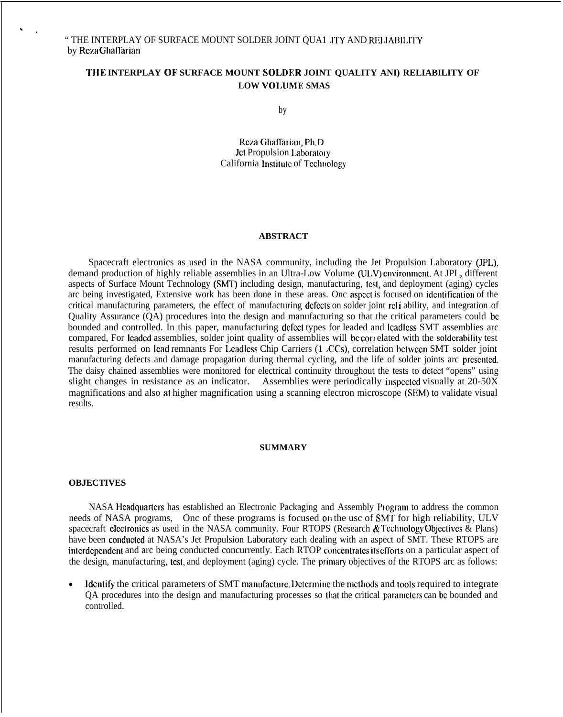# **THE INTERPLAY OF SURFACE MOUNT SOLDER JOINT QUALITY ANI) RELIABILITY OF LOW VOI.UME SMAS**

by

Rc~.a Ghaffarian, Ph.D Jet Propulsion Laboratory California Institute of Technology

#### **ABSTRACT**

Spacecraft electronics as used in the NASA community, including the Jet Propulsion Laboratory (JPL), demand production of highly reliable assemblies in an Ultra-Low Volume (ULV) cnvironment. At JPL, different aspects of Surface Mount Technology (SMT) including design, manufacturing, test, and deployment (aging) cycles arc being investigated, Extensive work has been done in these areas. Onc aspccl is focused on idcntitication of the critical manufacturing parameters, the effect of manufacturing defects on solder joint rcli ability, and integration of Quality Assurance (QA) procedures into the design and manufacturing so that the critical parameters could bc bounded and controlled. In this paper, manufacturing dcfccl types for leaded and lcadlcss SMT assemblies arc compared, For Icadcd assemblies, solder joint quality of assemblies will bc con elated with the soldcrability test results performed on Icad remnants For Lcadlcss Chip Carriers (1 ,CCS), correlation bctwccn SMT solder joint manufacturing defects and damage propagation during thermal cycling, and the life of solder joints arc prcscntcd. The daisy chained assemblies were monitored for electrical continuity throughout the tests to dclcct "opens" using slight changes in resistance as an indicator. Assemblies were periodically inspected visually at  $20-50X$ magnifications and also at higher magnification using a scanning electron microscope (SEM) to validate visual results.

#### **SUMMARY**

#### **OBJECTIVES**

 $\ddotsc$ 

NASA Headquarters has established an Electronic Packaging and Assembly Program to address the common needs of NASA programs. Onc of these programs is focused on the usc of SMT for high reliability, ULV spacecraft clectronics as used in the NASA community. Four RTOPS (Research  $\&$  Technology Objectives  $\&$  Plans) have been conducted at NASA's Jet Propulsion Laboratory each dealing with an aspect of SMT. These RTOPS are interdependent and arc being conducted concurrently. Each RTOP concentrates its efforts on a particular aspect of the design, manufacturing, test, and deployment (aging) cycle. The primary objectives of the RTOPS arc as follows:

• Identify the critical parameters of SMT manufacture. Determine the methods and 100Is required to integrate QA procedures into the design and manufacturing processes so that the critical paramcters can be bounded and controlled.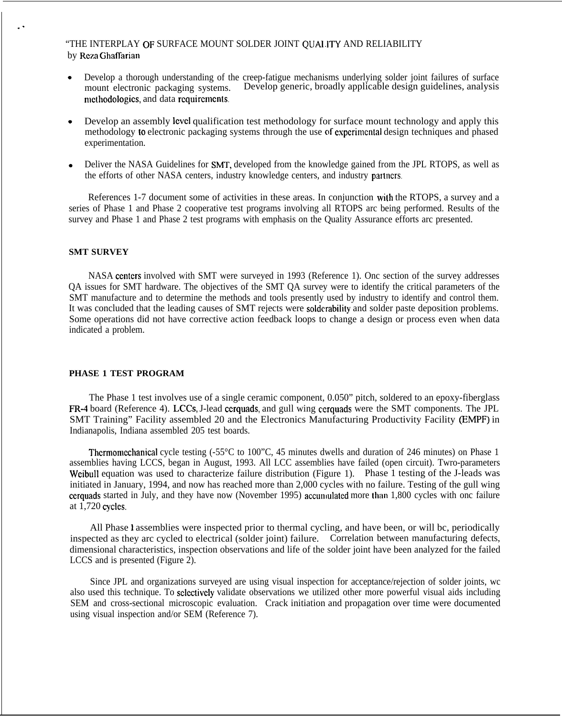## "THE INTERPLAY OF SURFACE MOUNT SOLDER JOINT QUALITY AND RELIABILITY by Rcza Ghaffarian

- $\bullet$ Develop a thorough understanding of the creep-fatigue mechanisms underlying solder joint failures of surface mount electronic packaging systems. Develop generic, broadly applicable design guidelines, analysis methodologies, and data requirements.
- Develop an assembly level qualification test methodology for surface mount technology and apply this methodology to electronic packaging systems through the use of cxpcrimcntal design techniques and phased experimentation.
- Deliver the NASA Guidelines for SMT, developed from the knowledge gained from the JPL RTOPS, as well as the efforts of other NASA centers, industry knowledge centers, and industry parlncrs

References 1-7 document some of activities in these areas. In conjunction with the RTOPS, a survey and a series of Phase 1 and Phase 2 cooperative test programs involving all RTOPS arc being performed. Results of the survey and Phase 1 and Phase 2 test programs with emphasis on the Quality Assurance efforts arc presented.

# **SMT SURVEY**

. .

NASA centers involved with SMT were surveyed in 1993 (Reference 1). Onc section of the survey addresses QA issues for SMT hardware. The objectives of the SMT QA survey were to identify the critical parameters of the SMT manufacture and to determine the methods and tools presently used by industry to identify and control them. It was concluded that the leading causes of SMT rejects were soldcrability and solder paste deposition problems. Some operations did not have corrective action feedback loops to change a design or process even when data indicated a problem.

#### **PHASE 1 TEST PROGRAM**

The Phase 1 test involves use of a single ceramic component, 0.050" pitch, soldered to an epoxy-fiberglass FR-4 board (Reference 4). LCCS, J-lead cerquads, and gull wing cerquads were the SMT components. The JPL SMT Training" Facility assembled 20 and the Electronics Manufacturing Productivity Facility (EMPF) in Indianapolis, Indiana assembled 205 test boards.

Thermomechanical cycle testing  $(-55^{\circ}C)$  to 100<sup>o</sup>C, 45 minutes dwells and duration of 246 minutes) on Phase 1 assemblies having LCCS, began in August, 1993. All LCC assemblies have failed (open circuit). Twro-parameters Weibull equation was used to characterize failure distribution (Figure 1). Phase 1 testing of the J-leads was initiated in January, 1994, and now has reached more than 2,000 cycles with no failure. Testing of the gull wing cerquads started in July, and they have now (November 1995) accumulated more than 1,800 cycles with onc failure at 1,720 cycles.

All Phase 1 assemblies were inspected prior to thermal cycling, and have been, or will bc, periodically inspected as they arc cycled to electrical (solder joint) failure. Correlation between manufacturing defects, dimensional characteristics, inspection observations and life of the solder joint have been analyzed for the failed LCCS and is presented (Figure 2).

Since JPL and organizations surveyed are using visual inspection for acceptance/rejection of solder joints, wc also used this technique. To selectively validate observations we utilized other more powerful visual aids including SEM and cross-sectional microscopic evaluation. Crack initiation and propagation over time were documented using visual inspection and/or SEM (Reference 7).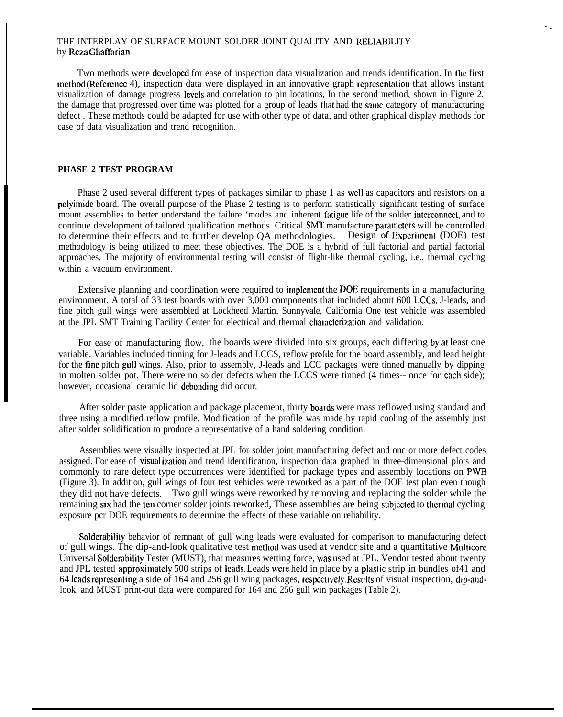### THE INTERPLAY OF SURFACE MOUNT SOLDER JOINT QUALITY AND RELIABILITY by Reza Ghaffarian

Two methods were dcvclopcd for ease of inspection data visualization and trends identification. In the first method (Reference 4), inspection data were displayed in an innovative graph representation that allows instant visualization of damage progress Icvels and correlation to pin locations, In the second method, shown in Figure 2, the damage that progressed over time was plotted for a group of leads that had the same category of manufacturing defect . These methods could be adapted for use with other type of data, and other graphical display methods for case of data visualization and trend recognition.

. .

#### **PHASE 2 TEST PROGRAM**

I

Phase 2 used several different types of packages similar to phase 1 as well as capacitors and resistors on a polyimidc board. The overall purpose of the Phase 2 testing is to perform statistically significant testing of surface mount assemblies to better understand the failure 'modes and inherent fatigue life of the solder interconnect, and to continue development of tailored qualification methods. Critical SMT manufacture parameters will be controlled to determine their effects and to further develop QA methodologies. Design of Experiment (DOE) test methodology is being utilized to meet these objectives. The DOE is a hybrid of full factorial and partial factorial approaches. The majority of environmental testing will consist of flight-like thermal cycling, i.e., thermal cycling within a vacuum environment.

Extensive planning and coordination were required to implement the DOE requirements in a manufacturing environment. A total of 33 test boards with over 3,000 components that included about 600 LCCS, J-leads, and fine pitch gull wings were assembled at Lockheed Martin, Sunnyvale, California One test vehicle was assembled at the JPL SMT Training Facility Center for electrical and thermal characterization and validation.

For ease of manufacturing flow, the boards were divided into six groups, each differing by at least one variable. Variables included tinning for J-leads and LCCS, reflow profile for the board assembly, and lead height for the fine pitch gull wings. Also, prior to assembly, J-leads and LCC packages were tinned manually by dipping in molten solder pot. There were no solder defects when the LCCS were tinned (4 times-- once for each side); however, occasional ceramic lid debonding did occur.

After solder paste application and package placement, thirty boards were mass reflowed using standard and three using a modified reflow profile. Modification of the profile was made by rapid cooling of the assembly just after solder solidification to produce a representative of a hand soldering condition.

Assemblies were visually inspected at JPL for solder joint manufacturing defect and onc or more defect codes assigned. For ease of visual ization and trend identification, inspection data graphed in three-dimensional plots and commonly to rare defect type occurrences were identified for package types and assembly locations on PWB (Figure 3). In addition, gull wings of four test vehicles were reworked as a part of the DOE test plan even though they did not have defects. Two gull wings were reworked by removing and replacing the solder while the remaining six had the ten corner solder joints reworked, These assemblies are being subjected to thermal cycling exposure pcr DOE requirements to determine the effects of these variable on reliability.

Soldcrability behavior of remnant of gull wing leads were evaluated for comparison to manufacturing defect of gull wings. The dip-and-look qualitative test rncthod was used at vendor site and a quantitative Multicorc Universal Soldcrability Tester (MUST), that measures wetting force, was used at JPL. Vendor tested about twenty and JPL tested approxiinatcly 500 strips of Icads, Leads wrcre held in place by a plaslic strip in bundles of41 and 64 leads representing a side of 164 and 256 gull wing packages, respectively. Results of visual inspection, dip-andlook, and MUST print-out data were compared for 164 and 256 gull win packages (Table 2).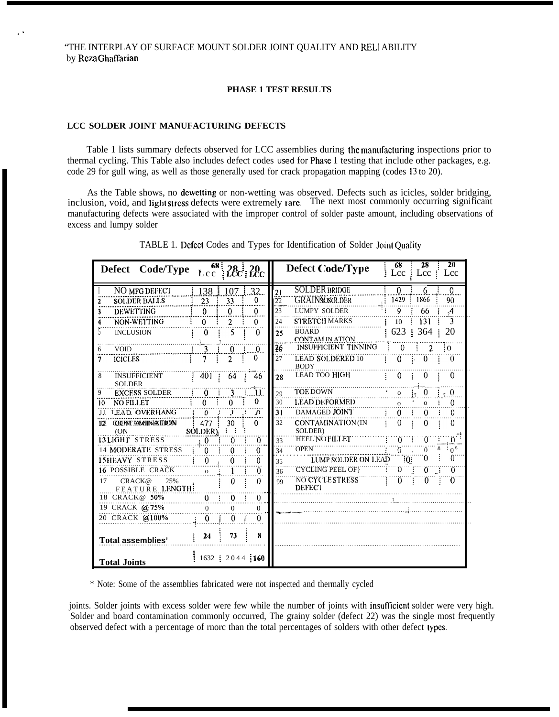### **PHASE 1 TEST RESULTS**

# **LCC SOLDER JOINT MANUFACTURING DEFECTS**

~.

Table 1 lists summary defects observed for LCC assemblies during the manufacturing inspections prior to thermal cycling. This Table also includes defect codes used for Phase 1 testing that include other packages, e.g. code 29 for gull wing, as well as those generally used for crack propagation mapping (codes 13 to 20).

As the Table shows, no dcwetting or non-wetting was observed. Defects such as icicles, solder bridging, inclusion, void, and lighl slrcss defects were extremely rare. The next most commonly occurring significant manufacturing defects were associated with the improper control of solder paste amount, including observations of excess and lumpy solder

| Defect Code/Type                              |                | $Lcc$ <sup>68</sup> $28c$ $20c$ |                     | 28<br>20<br>68<br>Defect Code/Type<br>Lcc<br>Lcc: Lcc              |  |
|-----------------------------------------------|----------------|---------------------------------|---------------------|--------------------------------------------------------------------|--|
| NO MFG DEFECT                                 | 138            | 107                             | 32                  | <b>SOLDER BRIDGE</b><br>$\Omega$<br>$\Omega$<br>6<br>21            |  |
| <b>SOLDER BALLS</b>                           | 23             | 33                              | 0                   | <b>GRAINSOSOLDER</b><br>1429<br>1866<br>22<br>90<br>               |  |
| <b>DEWETTING</b>                              | 0              | $\Omega$                        | 0                   | 23<br><b>LUMPY SOLDER</b><br>9<br>66<br>$\mathcal{A}$              |  |
| NON-WETTING                                   | $\Omega$       | $\overline{2}$                  | 0                   | <b>STRETCH MARKS</b><br>3<br>131<br>24<br>10                       |  |
| <b>INCLUSION</b>                              | 0              | 5                               | 0                   | 623 : 364<br><b>BOARD</b><br>20<br>25<br><b>CONTAM IN ATION</b>    |  |
| <b>VOID</b><br>6                              | 3              | 0                               | .Ω                  | INSUFFICIENT TINNING<br>0<br>$\frac{26}{5}$<br>2<br>$\Omega$       |  |
| <b>ICICLES</b><br>7                           | 7              | $\overline{2}$                  | 0                   | <b>LEAD SOLDERED 10</b><br>27<br>$\Omega$<br>0<br>0<br><b>BODY</b> |  |
| 8<br><b>INSUFFICIENT</b><br><b>SOLDER</b>     | 401            | 64                              | 46                  | <b>LEAD TOO HIGH</b><br>$\Omega$<br>0<br>$\theta$<br>28            |  |
| <b>EXCESS SOLDER</b><br>9                     | $\Omega$       | ٦                               | 11                  | <b>TOE DOWN</b><br>0<br>$\Omega$<br>29<br>$\Omega$                 |  |
| <b>NO FILLET</b><br>10                        | 0              | 0                               | 0                   | <b>LEAD DEFORMED</b><br>30<br>0<br>$\Omega$<br>$\Omega$            |  |
| 11 LEAD OVERHANG                              | $\Omega$       | $\cdot$                         | $\Omega$            | DAMAGED JOINT<br>31<br>0<br>$\Omega$<br>0                          |  |
| <b>CCONT AMMINATION</b><br>1122<br>(ON)       | 477<br>SOLDER) | 30                              | 0                   | 32<br>CONTAMINATION (IN<br>$\Omega$<br>0<br>0<br>SOLDER)           |  |
| <b>13LIGHT STRESS</b>                         | $\Omega$       | 0                               | $\bf{0}$            | <b>HEEL NOFILLET</b><br>Ö.<br>0.<br>0<br>33                        |  |
| <b>14 MODERATE STRESS</b>                     | ∩              | 0                               | 0<br><b>Service</b> | <b>OPEN</b><br>O.<br>Λ.<br>≑o∿<br>$\Omega$<br>34                   |  |
| <b>15HEAVY STRESS</b>                         | $\Omega$       | 0                               | 0                   | $0^{\circ}$<br>0<br>ΤÖΪ<br>LUMP SOLDER ON LEAD<br>35               |  |
| <b>16 POSSIBLE CRACK</b>                      | $\Omega$       |                                 | 0                   | <b>CYCLING PEEL OF!</b><br>0<br>Ő<br>Ő<br>36                       |  |
| CRACK@<br>25%<br>17<br><b>FEATURE LENGTH:</b> |                | 0                               | $\Omega$            | <b>NO CYCLESTRESS</b><br>Ö<br>0<br>0<br>99<br><b>DEFECT</b>        |  |
| 18 CRACK@ 50%                                 | $\mathbf{0}$   | 0                               | $\Omega$            |                                                                    |  |
| 19 CRACK @75%                                 | $\Omega$       | $\Omega$                        | $\Omega$            |                                                                    |  |
| 20 CRACK @100%                                | 0              | 0                               | 0                   |                                                                    |  |
| <b>Total assemblies'</b>                      | 24             | 73                              | 8                   |                                                                    |  |
| <b>Total Joints</b>                           |                | $1632 \div 2044 \div 160$       |                     |                                                                    |  |

TABLE 1. Defect Codes and Types for Identification of Solder Joint Qualily

\* Note: Some of the assemblies fabricated were not inspected and thermally cycled

joints. Solder joints with excess solder were few while the number of joints with insufficient solder were very high. Solder and board contamination commonly occurred, The grainy solder (defect 22) was the single most frequently observed defect with a percentage of rnorc than the total percentages of solders with other defect types.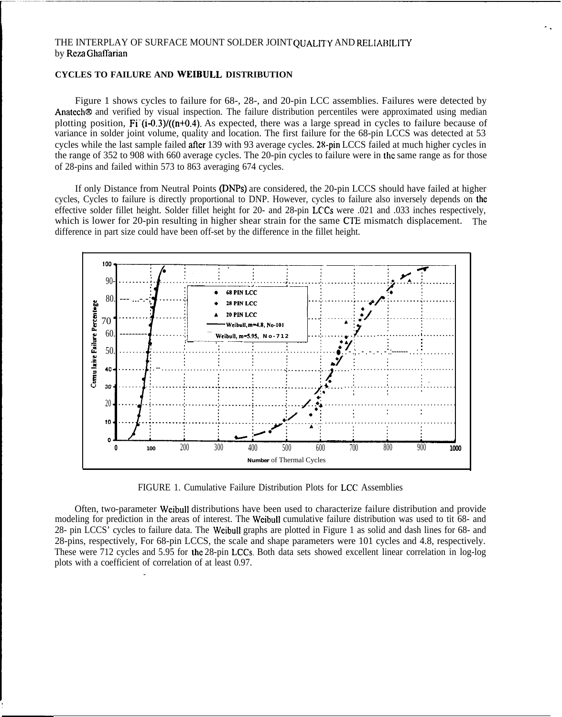# THE INTERPLAY OF SURFACE MOUNT SOLDER JOINT OUALITY AND RELIABILITY by Reza Ghaffarian

# **CYCLES TO FAILURE AND WEIBULL DISTRIBUTION**

Figure 1 shows cycles to failure for 68-, 28-, and 20-pin LCC assemblies. Failures were detected by Anatech® and verified by visual inspection. The failure distribution percentiles were approximated using median plotting position.  $Fi(1-0.3)/(n+0.4)$ . As expected, there was a large spread in cycles to failure because of variance in solder joint volume, quality and location. The first failure for the 68-pin LCCS was detected at 53 cycles while the last sample failed after 139 with 93 average cycles. 28-pin LCCS failed at much higher cycles in the range of 352 to 908 with 660 average cycles. The 20-pin cycles to failure were in the same range as for those of 28-pins and failed within 573 to 863 averaging 674 cycles.

If only Distance from Neutral Points (DNPs) are considered, the 20-pin LCCS should have failed at higher cycles, Cycles to failure is directly proportional to DNP. However, cycles to failure also inversely depends on the effective solder fillet height. Solder fillet height for 20- and 28-pin LCCs were 0.021 and 0.033 inches respectively. which is lower for 20-pin resulting in higher shear strain for the same CTE mismatch displacement. The difference in part size could have been off-set by the difference in the fillet height.



FIGURE 1. Cumulative Failure Distribution Plots for LCC Assemblies

Often, two-parameter Weibull distributions have been used to characterize failure distribution and provide modeling for prediction in the areas of interest. The Weibull cumulative failure distribution was used to tit 68- and 28- pin LCCS' cycles to failure data. The Weibull graphs are plotted in Figure 1 as solid and dash lines for 68- and 28-pins, respectively, For 68-pin LCCS, the scale and shape parameters were 101 cycles and 4.8, respectively. These were 712 cycles and 5.95 for the 28-pin LCCs. Both data sets showed excellent linear correlation in log-log plots with a coefficient of correlation of at least 0.97.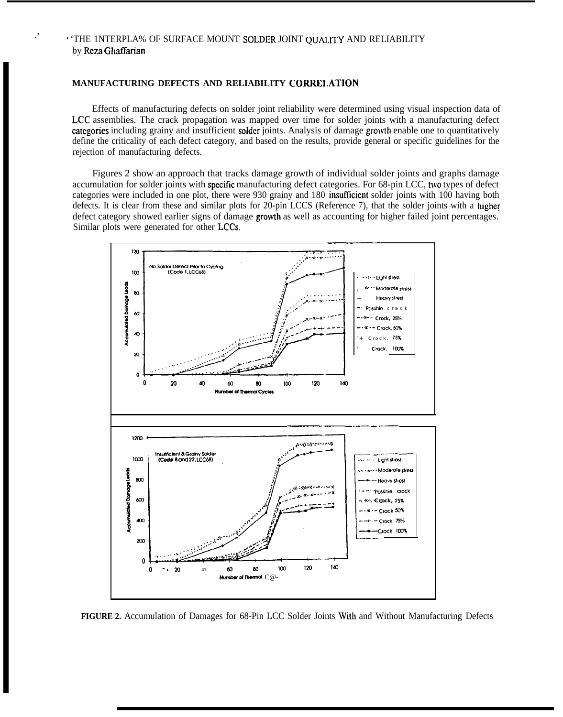# · 'THE INTERPLA% OF SURFACE MOUNT SOLDER JOINT QUALITY AND RELIABILITY by Reza Ghaffarian

# MANUFACTURING DEFECTS AND RELIABILITY CORRELATION

Effects of manufacturing defects on solder joint reliability were determined using visual inspection data of LCC assemblies. The crack propagation was mapped over time for solder joints with a manufacturing defect categories including grainy and insufficient solder joints. Analysis of damage growth enable one to quantitatively define the criticality of each defect category, and based on the results, provide general or specific guidelines for the rejection of manufacturing defects.

Figures 2 show an approach that tracks damage growth of individual solder joints and graphs damage accumulation for solder joints with specific manufacturing defect categories. For 68-pin LCC, two types of defect categories were included in one plot, there were 930 grainy and 180 insufficient solder joints with 100 having both defects. It is clear from these and similar plots for 20-pin LCCS (Reference 7), that the solder joints with a higher defect category showed earlier signs of damage growth as well as accounting for higher failed joint percentages. Similar plots were generated for other LCCs.



FIGURE 2. Accumulation of Damages for 68-Pin LCC Solder Joints With and Without Manufacturing Defects

 $\cdot$ ,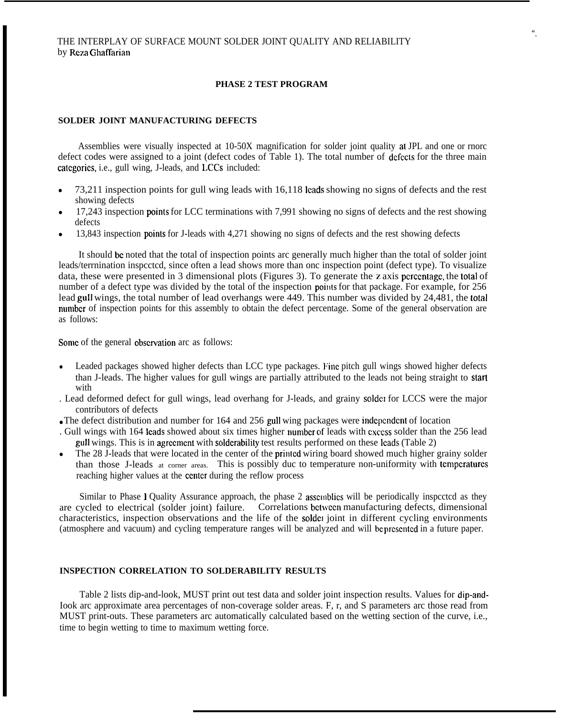## **PHASE 2 TEST PROGRAM**

#### **SOLDER JOINT MANUFACTURING DEFECTS**

Assemblies were visually inspected at 10-50X magnification for solder joint quality at JPL and one or rnorc defect codes were assigned to a joint (defect codes of Table 1). The total number of defects for the three main catcgorics, i.e., gull wing, J-leads, and LCCS included:

- $\bullet$  73,211 inspection points for gull wing leads with 16,118 leads showing no signs of defects and the rest showing defects
- 17,243 inspection points for LCC terminations with 7,991 showing no signs of defects and the rest showing defects
- 13,843 inspection points for J-leads with 4,271 showing no signs of defects and the rest showing defects

It should be noted that the total of inspection points arc generally much higher than the total of solder joint leads/terrnination inspcctcd, since often a lead shows more than onc inspection point (defect type). To visualize data, these were presented in 3 dimensional plots (Figures 3). To generate the z axis pcrccntage, the total of number of a defect type was divided by the total of the inspection points for that package. For example, for 256 lead gull wings, the total number of lead overhangs were 449. This number was divided by 24,481, the total number of inspection points for this assembly to obtain the defect percentage. Some of the general observation are as follows:

Some of the general observation arc as follows:

- Leaded packages showed higher defects than LCC type packages. Fine pitch gull wings showed higher defects than J-leads. The higher values for gull wings are partially attributed to the leads not being straight to start with
- . Lead deformed defect for gull wings, lead overhang for J-leads, and grainy solder for LCCS were the major contributors of defects
- The defect distribution and number for 164 and 256 gull wing packages were independent of location
- . Gull wings with 164 leads showed about six times higher number of leads with cxccss solder than the 256 lead gull wings. This is in agrccmcnt with solderability test results performed on these Icads (Table 2)
- The 28 J-leads that were located in the center of the printed wiring board showed much higher grainy solder than those J-leads at corner areas. This is possibly duc to temperature non-uniformity with temperatures reaching higher values at the center during the reflow process

Similar to Phase I Quality Assurance approach, the phase 2 assemblies will be periodically inspected as they are cycled to electrical (solder joint) failure. Correlations bctwccn manufacturing defects, dimensional characteristics, inspection observations and the life of the solder joint in different cycling environments (atmosphere and vacuum) and cycling temperature ranges will be analyzed and will bc prcscntcd in a future paper.

#### **INSPECTION CORRELATION TO SOLDERABILITY RESULTS**

Table 2 lists dip-and-look, MUST print out test data and solder joint inspection results. Values for dip-and-Iook arc approximate area percentages of non-coverage solder areas. F, r, and S parameters arc those read from MUST print-outs. These parameters arc automatically calculated based on the wetting section of the curve, i.e., time to begin wetting to time to maximum wetting force.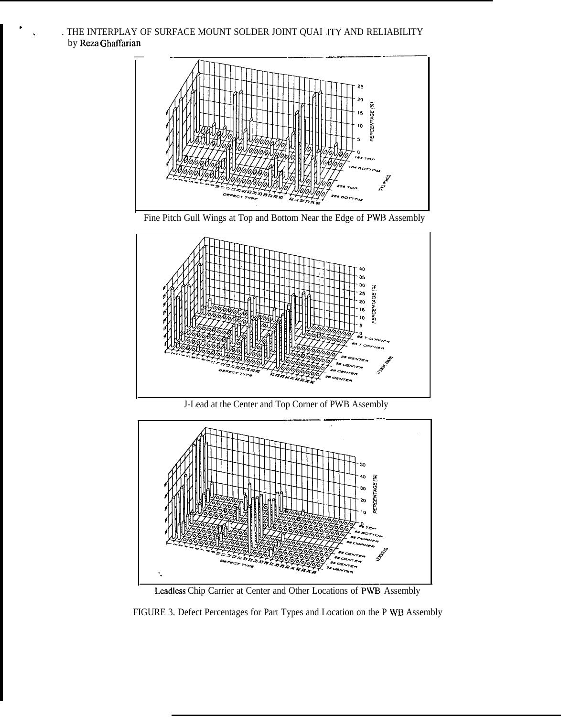. THE INTERPLAY OF SURFACE MOUNT SOLDER JOINT QUAI .ITY AND RELIABILITY by Reza Ghaffarian

.









Leadless Chip Carrier at Center and Other Locations of PWB- Assembly

FIGURE 3. Defect Percentages for Part Types and Location on the P WB Assembly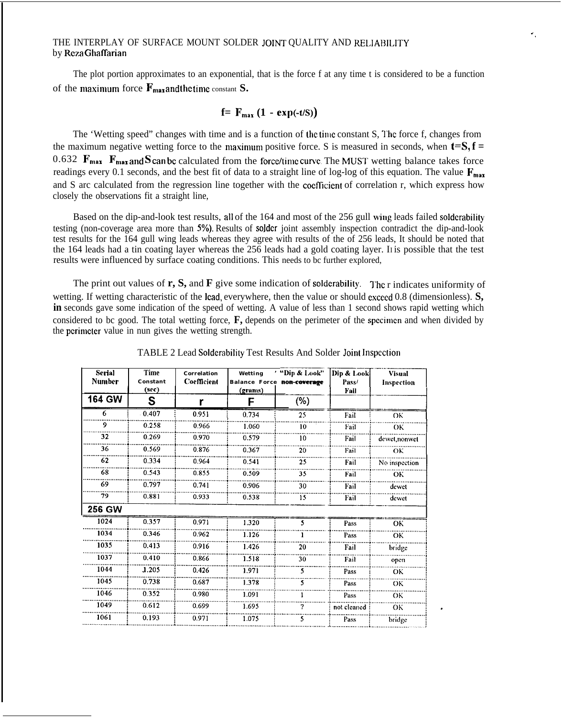# THE INTERPLAY OF SURFACE MOUNT SOLDER JOINT QUALITY AND RELIABILITY by Rcza Ghaffarian

The plot portion approximates to an exponential, that is the force f at any time t is considered to be a function of the maximum force  $\mathbf{F}_{\text{max}}$  and the time constant  $\mathbf{S}$ .

# **f**=  $F_{max}$  (1 - **exp**(-t/S))

The 'Wetting speed" changes with time and is a function of the time constant S, The force f, changes from the maximum negative wetting force to the maximum positive force. S is measured in seconds, when  $t=S, f =$ 0.632 **F<sub>max</sub> F**<sub>max</sub> and **S** can be calculated from the force/time curve. The MUST wetting balance takes force readings every 0.1 seconds, and the best fit of data to a straight line of log-log of this equation. The value  $\mathbf{F}_{\text{max}}$ and S arc calculated from the regression line together with the coefficient of correlation r, which express how closely the observations fit a straight line,

Based on the dip-and-look test results, all of the 164 and most of the 256 gull wing leads failed soldcrability testing (non-coverage area more than 5%). Results of solder joint assembly inspection contradict the dip-and-look test results for the 164 gull wing leads whereas they agree with results of the of 256 leads, It should be noted that the 164 leads had a tin coating layer whereas the 256 leads had a gold coating layer. II is possible that the test results were influenced by surface coating conditions. This needs to bc further explored,

The print out values of **r, S,** and **F** give some indication of solderability. I'hc r indicates uniformity of wetting. If wetting characteristic of the lead, everywhere, then the value or should cxcccd 0.8 (dimensionless). **S, in** seconds gave some indication of the speed of wetting. A value of less than 1 second shows rapid wetting which considered to bc good. The total wetting force,  $\mathbf{F}$ , depends on the perimeter of the specimen and when divided by the perimeter value in nun gives the wetting strength.

| <b>Serial</b><br>Number | <b>Time</b><br>Constant<br>(sec) | <b>Correlation</b><br>Coefficient | Wetting<br>Balance Force non-coverage<br>(grams) | "Dip & Look"<br>(%) | Dip & Look<br>Pass/<br>Fail | <b>Visual</b><br>Inspection |
|-------------------------|----------------------------------|-----------------------------------|--------------------------------------------------|---------------------|-----------------------------|-----------------------------|
| <b>164 GW</b>           | S                                | r                                 | F                                                |                     |                             |                             |
| 6                       | 0.407                            | 0.951                             | 0.734                                            | 25                  | Fail                        | OК                          |
| 9                       | 0.258                            | 0.966                             | 1.060                                            | 10                  | Fail                        | OК                          |
| 32                      | 0.269                            | 0.970                             | 0.579                                            | 10                  | Fail                        | dewet, nonwet               |
| 36                      | 0.569                            | 0.876                             | 0.367                                            | 20                  | Fail                        | OK                          |
| 62                      | 0.334                            | 0.964                             | 0.541                                            | 25                  | Fail                        | No inspection               |
| 68                      | 0.543                            | 0.855                             | 0.509                                            | 35                  | Fail                        | OK                          |
| 69                      | 0.797                            | 0.741                             | 0.906                                            | 30                  | Fail                        | dewet                       |
| 79                      | 0.881                            | 0.933                             | 0.538                                            | 15                  | Fail                        | dewet                       |
| 256 GW                  |                                  |                                   |                                                  |                     |                             |                             |
| 1024                    | 0.357                            | 0.971                             | 1.320                                            | 5                   | Pass                        | ОK                          |
| 1034                    | 0.346                            | 0.962                             | 1.126                                            |                     | Pass                        | ОK                          |
| 1035                    | 0.413                            | 0.916                             | 1.426                                            | 20                  | Fail                        | bridge                      |
| 1037                    | 0.410                            | 0.866                             | 1.518                                            | 30                  | Fail                        | open                        |
| 1044                    | 1.205                            | 0.426                             | 1.971                                            | 5                   | Pass                        | OK                          |
| 1045                    | 0.738                            | 0.687                             | 1.378                                            | 5                   | Pass                        | OK                          |
| 1046                    | 0.352                            | 0.980                             | 1.091                                            |                     | Pass                        | OK                          |
| 1049                    | 0.612                            | 0.699                             | 1.695                                            | ?                   | not cleaned                 | <b>OK</b>                   |
| 1061                    | 0.193                            | 0.971                             |                                                  |                     |                             |                             |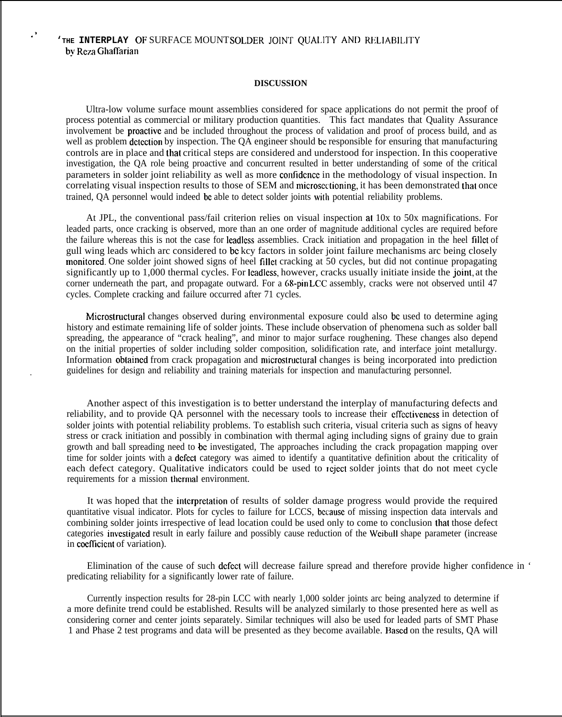# **'THE INTERPLAY** OF SURFACE MOUNT **SOLDER JOINT QUALITY mm RF;LIABILITY** by Reza Ghaffarian

.>

#### **DISCUSSION**

Ultra-low volume surface mount assemblies considered for space applications do not permit the proof of process potential as commercial or military production quantities. This fact mandates that Quality Assurance involvement be proaciivc and be included throughout the process of validation and proof of process build, and as well as problem detection by inspection. The QA engineer should be responsible for ensuring that manufacturing controls are in place and that critical steps are considered and understood for inspection. In this cooperative investigation, the QA role being proactive and concurrent resulted in better understanding of some of the critical parameters in solder joint reliability as well as more contidcnce in the methodology of visual inspection. In correlating visual inspection results to those of SEM and microscctioning, it has been demonstrated that once trained, QA personnel would indeed bc able to detect solder joints with potential reliability problems.

At JPL, the conventional pass/fail criterion relies on visual inspection at 10x to 50x magnifications. For leaded parts, once cracking is observed, more than an one order of magnitude additional cycles are required before the failure whereas this is not the case for leadlcss assemblies. Crack initiation and propagation in the heel Iillct of gull wing leads which arc considered to bc kcy factors in solder joint failure mechanisms arc being closely monitored. One solder joint showed signs of heel fillet cracking at 50 cycles, but did not continue propagating significantly up to 1,000 thermal cycles. For Ieadless, however, cracks usually initiate inside the joint, at the corner underneath the part, and propagate outward. For a 68-pin LCC assembly, cracks were not observed until 47 cycles. Complete cracking and failure occurred after 71 cycles.

Microstructural changes observed during environmental exposure could also bc used to determine aging history and estimate remaining life of solder joints. These include observation of phenomena such as solder ball spreading, the appearance of "crack healing", and minor to major surface roughening. These changes also depend on the initial properties of solder including solder composition, solidification rate, and interface joint metallurgy. Information obtained from crack propagation and microstructural changes is being incorporated into prediction . guidelines for design and reliability and training materials for inspection and manufacturing personnel.

Another aspect of this investigation is to better understand the interplay of manufacturing defects and reliability, and to provide QA personnel with the necessary tools to increase their cffcctivencss in detection of solder joints with potential reliability problems. To establish such criteria, visual criteria such as signs of heavy stress or crack initiation and possibly in combination with thermal aging including signs of grainy due to grain growth and ball spreading need to be investigated, The approaches including the crack propagation mapping over time for solder joints with a dcfcci category was aimed to identify a quantitative definition about the criticality of each defect category. Qualitative indicators could be used to reject solder joints that do not meet cycle requirements for a mission thermal environment.

It was hoped that the interpretation of results of solder damage progress would provide the required quantitative visual indicator. Plots for cycles to failure for LCCS, bccausc of missing inspection data intervals and combining solder joints irrespective of lead location could be used only to come to conclusion that those defect categories invcsligatcd result in early failure and possibly cause reduction of the Weibull shape parameter (increase in coefficient of variation).

Elimination of the cause of such defect will decrease failure spread and therefore provide higher confidence in ' predicating reliability for a significantly lower rate of failure.

Currently inspection results for 28-pin LCC with nearly 1,000 solder joints arc being analyzed to determine if a more definite trend could be established. Results will be analyzed similarly to those presented here as well as considering corner and center joints separately. Similar techniques will also be used for leaded parts of SMT Phase 1 and Phase 2 test programs and data will be presented as they become available. Based on the results, QA will